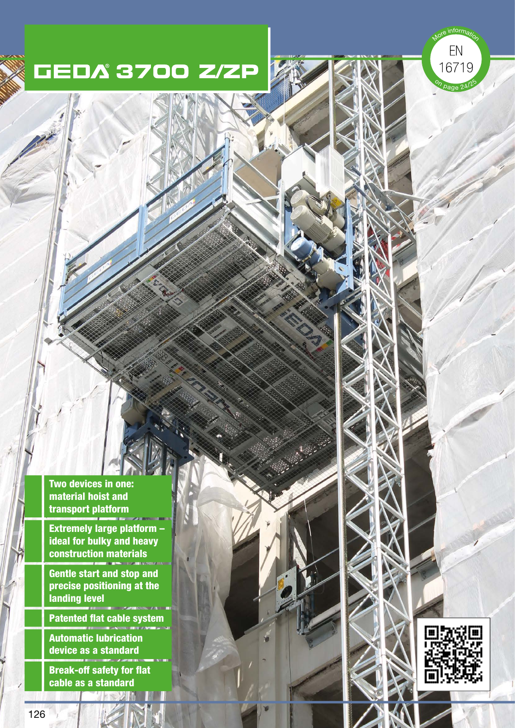information

 ${\sf EN}$ 16719

Dage 2 $^{\prime}$ 

Two devices in one: material hoist and transport platform

Extremely large platform – ideal for bulky and heavy construction materials

Gentle start and stop and precise positioning at the landing level

Patented flat cable system

Automatic lubrication device as a standard

Break-off safety for flat cable as a standard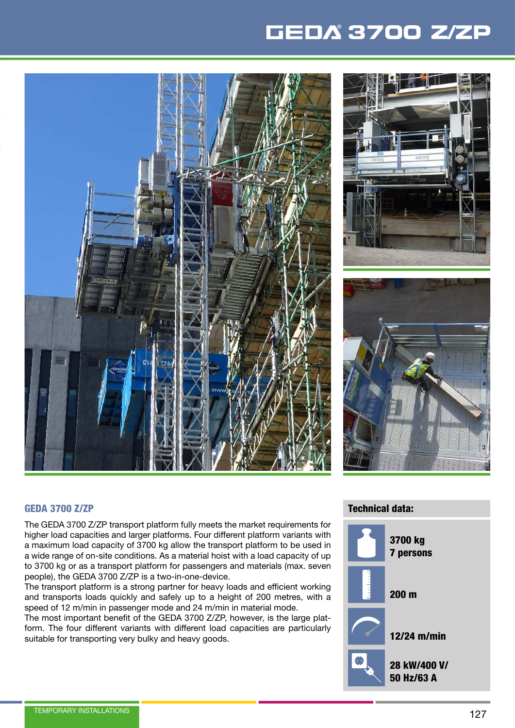





#### GEDA 3700 Z/ZP

The GEDA 3700 Z/ZP transport platform fully meets the market requirements for higher load capacities and larger platforms. Four different platform variants with a maximum load capacity of 3700 kg allow the transport platform to be used in a wide range of on-site conditions. As a material hoist with a load capacity of up to 3700 kg or as a transport platform for passengers and materials (max. seven people), the GEDA 3700 Z/ZP is a two-in-one-device.

The transport platform is a strong partner for heavy loads and efficient working and transports loads quickly and safely up to a height of 200 metres, with a speed of 12 m/min in passenger mode and 24 m/min in material mode.

The most important benefit of the GEDA 3700 Z/ZP, however, is the large platform. The four different variants with different load capacities are particularly suitable for transporting very bulky and heavy goods.

#### Technical data:

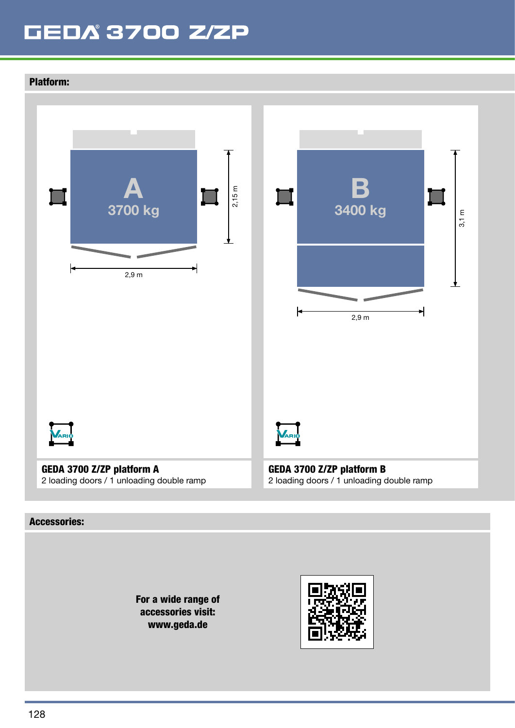### Platform:



#### Accessories:

For a wide range of accessories visit: www.geda.de